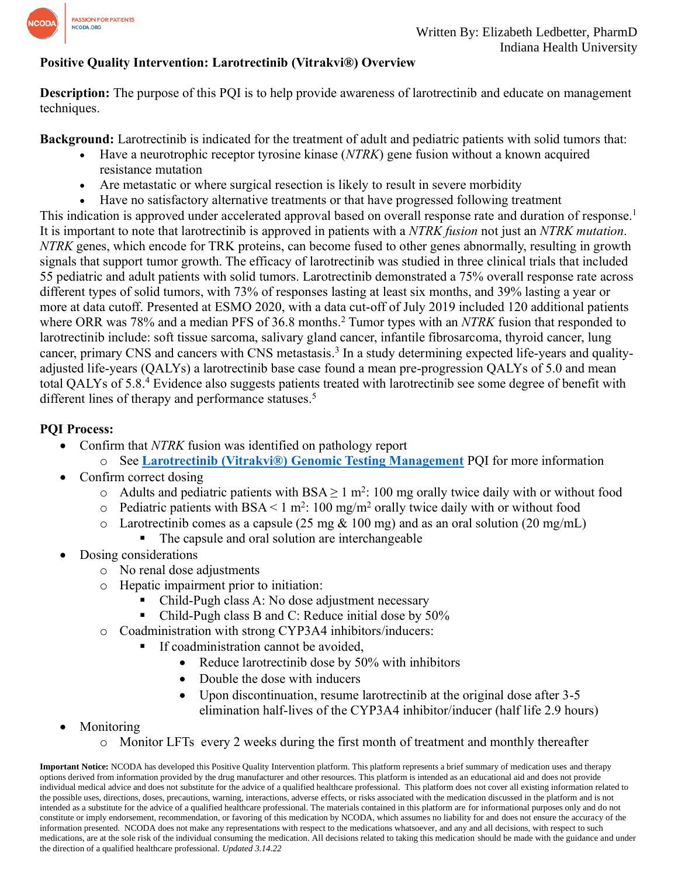

## **Positive Quality Intervention: Larotrectinib (Vitrakvi®) Overview**

**Description:** The purpose of this PQI is to help provide awareness of larotrectinib and educate on management techniques.

**Background:** Larotrectinib is indicated for the treatment of adult and pediatric patients with solid tumors that:

- Have a neurotrophic receptor tyrosine kinase (*NTRK*) gene fusion without a known acquired resistance mutation
- Are metastatic or where surgical resection is likely to result in severe morbidity
- Have no satisfactory alternative treatments or that have progressed following treatment

This indication is approved under accelerated approval based on overall response rate and duration of response.<sup>1</sup> It is important to note that larotrectinib is approved in patients with a *NTRK fusion* not just an *NTRK mutation*. *NTRK* genes, which encode for TRK proteins, can become fused to other genes abnormally, resulting in growth signals that support tumor growth. The efficacy of larotrectinib was studied in three clinical trials that included 55 pediatric and adult patients with solid tumors. Larotrectinib demonstrated a 75% overall response rate across different types of solid tumors, with 73% of responses lasting at least six months, and 39% lasting a year or more at data cutoff. Presented at ESMO 2020, with a data cut-off of July 2019 included 120 additional patients where ORR was 78% and a median PFS of 36.8 months. <sup>2</sup> Tumor types with an *NTRK* fusion that responded to larotrectinib include: soft tissue sarcoma, salivary gland cancer, infantile fibrosarcoma, thyroid cancer, lung cancer, primary CNS and cancers with CNS metastasis.<sup>3</sup> In a study determining expected life-years and qualityadjusted life-years (QALYs) a larotrectinib base case found a mean pre-progression QALYs of 5.0 and mean total QALYs of 5.8.<sup>4</sup> Evidence also suggests patients treated with larotrectinib see some degree of benefit with different lines of therapy and performance statuses.<sup>5</sup>

## **PQI Process:**

- Confirm that *NTRK* fusion was identified on pathology report
	- o See **[Larotrectinib \(Vitrakvi®\) Genomic Testing Management](https://www.ncoda.org/wp-content/uploads/pqis/Larotrectinib-Vitrakvi-Genomic-Management_PQI_NCODA.pdf)** PQI for more information
- Confirm correct dosing
	- $\circ$  Adults and pediatric patients with BSA  $\geq 1$  m<sup>2</sup>: 100 mg orally twice daily with or without food
	- $\circ$  Pediatric patients with BSA < 1 m<sup>2</sup>: 100 mg/m<sup>2</sup> orally twice daily with or without food
	- o Larotrectinib comes as a capsule  $(25 \text{ mg} \& 100 \text{ mg})$  and as an oral solution  $(20 \text{ mg/mL})$ 
		- The capsule and oral solution are interchangeable
- Dosing considerations
	- o No renal dose adjustments
	- o Hepatic impairment prior to initiation:
		- Child-Pugh class A: No dose adjustment necessary
		- Child-Pugh class B and C: Reduce initial dose by 50%
	- o Coadministration with strong CYP3A4 inhibitors/inducers:
		- **•** If coadministration cannot be avoided,
			- Reduce larotrectinib dose by 50% with inhibitors
			- Double the dose with inducers
			- Upon discontinuation, resume larotrectinib at the original dose after 3-5 elimination half-lives of the CYP3A4 inhibitor/inducer (half life 2.9 hours)
- **Monitoring** 
	- o Monitor LFTs every 2 weeks during the first month of treatment and monthly thereafter

**Important Notice:** NCODA has developed this Positive Quality Intervention platform. This platform represents a brief summary of medication uses and therapy options derived from information provided by the drug manufacturer and other resources. This platform is intended as an educational aid and does not provide individual medical advice and does not substitute for the advice of a qualified healthcare professional. This platform does not cover all existing information related to the possible uses, directions, doses, precautions, warning, interactions, adverse effects, or risks associated with the medication discussed in the platform and is not intended as a substitute for the advice of a qualified healthcare professional. The materials contained in this platform are for informational purposes only and do not constitute or imply endorsement, recommendation, or favoring of this medication by NCODA, which assumes no liability for and does not ensure the accuracy of the information presented. NCODA does not make any representations with respect to the medications whatsoever, and any and all decisions, with respect to such medications, are at the sole risk of the individual consuming the medication. All decisions related to taking this medication should be made with the guidance and under the direction of a qualified healthcare professional. *Updated 3.14.22*